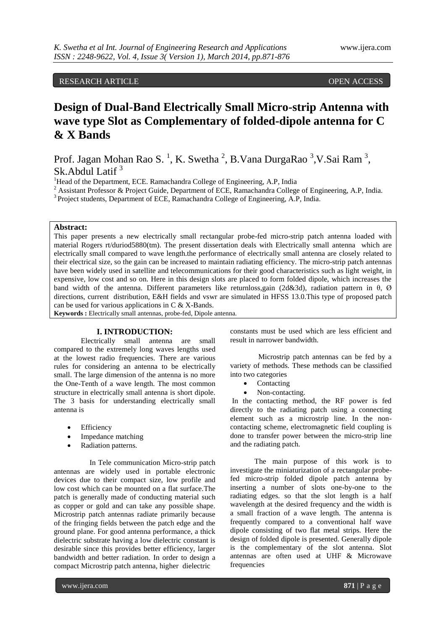RESEARCH ARTICLE OPEN ACCESS

# **Design of Dual-Band Electrically Small Micro-strip Antenna with wave type Slot as Complementary of folded-dipole antenna for C & X Bands**

Prof. Jagan Mohan Rao S.<sup>1</sup>, K. Swetha<sup>2</sup>, B.Vana DurgaRao<sup>3</sup>,V.Sai Ram<sup>3</sup>, Sk.Abdul Latif<sup>3</sup>

<sup>1</sup>Head of the Department, ECE. Ramachandra College of Engineering, A.P, India

<sup>2</sup> Assistant Professor & Project Guide, Department of ECE, Ramachandra College of Engineering, A.P, India.

<sup>3</sup> Project students, Department of ECE, Ramachandra College of Engineering, A.P, India.

## **Abstract:**

This paper presents a new electrically small rectangular probe-fed micro-strip patch antenna loaded with material Rogers rt/duriod5880(tm). The present dissertation deals with Electrically small antenna which are electrically small compared to wave length.the performance of electrically small antenna are closely related to their electrical size, so the gain can be increased to maintain radiating efficiency. The micro-strip patch antennas have been widely used in satellite and telecommunications for their good characteristics such as light weight, in expensive, low cost and so on. Here in this design slots are placed to form folded dipole, which increases the band width of the antenna. Different parameters like returnloss,gain (2d&3d), radiation pattern in θ, Ø directions, current distribution, E&H fields and vswr are simulated in HFSS 13.0.This type of proposed patch can be used for various applications in C & X-Bands.

**Keywords :** Electrically small antennas, probe-fed, Dipole antenna.

## **I. INTRODUCTION:**

Electrically small antenna are small compared to the extremely long waves lengths used at the lowest radio frequencies. There are various rules for considering an antenna to be electrically small. The large dimension of the antenna is no more the One-Tenth of a wave length. The most common structure in electrically small antenna is short dipole. The 3 basis for understanding electrically small antenna is

- Efficiency
- Impedance matching
- Radiation patterns.

 In Tele communication Micro-strip patch antennas are widely used in portable electronic devices due to their compact size, low profile and low cost which can be mounted on a flat surface.The patch is generally made of conducting material such as copper or gold and can take any possible shape. Microstrip patch antennas radiate primarily because of the fringing fields between the patch edge and the ground plane. For good antenna performance, a thick dielectric substrate having a low dielectric constant is desirable since this provides better efficiency, larger bandwidth and better radiation. In order to design a compact Microstrip patch antenna, higher dielectric

constants must be used which are less efficient and result in narrower bandwidth.

 Microstrip patch antennas can be fed by a variety of methods. These methods can be classified into two categories

- Contacting
- Non-contacting.

In the contacting method, the RF power is fed directly to the radiating patch using a connecting element such as a microstrip line. In the noncontacting scheme, electromagnetic field coupling is done to transfer power between the micro-strip line and the radiating patch.

 The main purpose of this work is to investigate the miniaturization of a rectangular probefed micro-strip folded dipole patch antenna by inserting a number of slots one-by-one to the radiating edges. so that the slot length is a half wavelength at the desired frequency and the width is a small fraction of a wave length. The antenna is frequently compared to a conventional half wave dipole consisting of two flat metal strips. Here the design of folded dipole is presented. Generally dipole is the complementary of the slot antenna. Slot antennas are often used at UHF & Microwave frequencies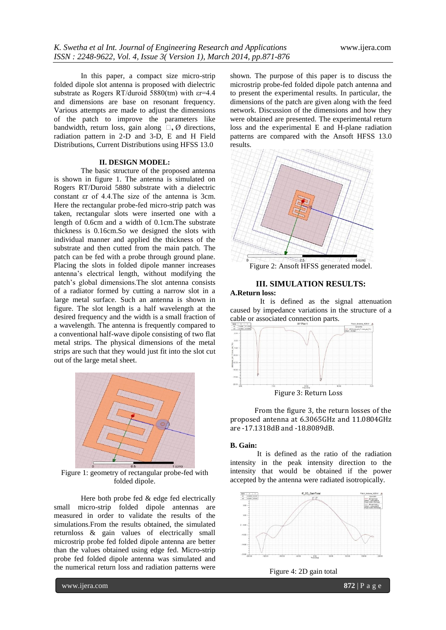In this paper, a compact size micro-strip folded dipole slot antenna is proposed with dielectric substrate as Rogers RT/duroid 5880(tm) with  $er=4.4$ and dimensions are base on resonant frequency. Various attempts are made to adjust the dimensions of the patch to improve the parameters like bandwidth, return loss, gain along **θ,** Ø directions, radiation pattern in 2-D and 3-D, E and H Field Distributions, Current Distributions using HFSS 13.0

## **II. DESIGN MODEL:**

The basic structure of the proposed antenna is shown in figure 1. The antenna is simulated on Rogers RT/Duroid 5880 substrate with a dielectric constant εr of 4.4.The size of the antenna is 3cm. Here the rectangular probe-fed micro-strip patch was taken, rectangular slots were inserted one with a length of 0.6cm and a width of 0.1cm.The substrate thickness is 0.16cm.So we designed the slots with individual manner and applied the thickness of the substrate and then cutted from the main patch. The patch can be fed with a probe through ground plane. Placing the slots in folded dipole manner increases antenna's electrical length, without modifying the patch's global dimensions.The slot antenna consists of a radiator formed by cutting a narrow slot in a large metal surface. Such an antenna is shown in figure. The slot length is a half wavelength at the desired frequency and the width is a small fraction of a wavelength. The antenna is frequently compared to a conventional half-wave dipole consisting of two flat metal strips. The physical dimensions of the metal strips are such that they would just fit into the slot cut out of the large metal sheet.



Figure 1: geometry of rectangular probe-fed with folded dipole.

Here both probe fed & edge fed electrically small micro-strip folded dipole antennas are measured in order to validate the results of the simulations.From the results obtained, the simulated returnloss & gain values of electrically small microstrip probe fed folded dipole antenna are better than the values obtained using edge fed. Micro-strip probe fed folded dipole antenna was simulated and the numerical return loss and radiation patterns were

shown. The purpose of this paper is to discuss the microstrip probe-fed folded dipole patch antenna and to present the experimental results. In particular, the dimensions of the patch are given along with the feed network. Discussion of the dimensions and how they were obtained are presented. The experimental return loss and the experimental E and H-plane radiation patterns are compared with the Ansoft HFSS 13.0 results.



## **III. SIMULATION RESULTS: A.Return loss:**

 It is defined as the signal attenuation caused by impedance variations in the structure of a cable or associated connection parts.



 From the figure 3, the return losses of the proposed antenna at 6.3065GHz and 11.0804GHz are -17.1318dB and -18.8089dB.

## **B. Gain:**

It is defined as the ratio of the radiation intensity in the peak intensity direction to the intensity that would be obtained if the power accepted by the antenna were radiated isotropically.



Figure 4: 2D gain total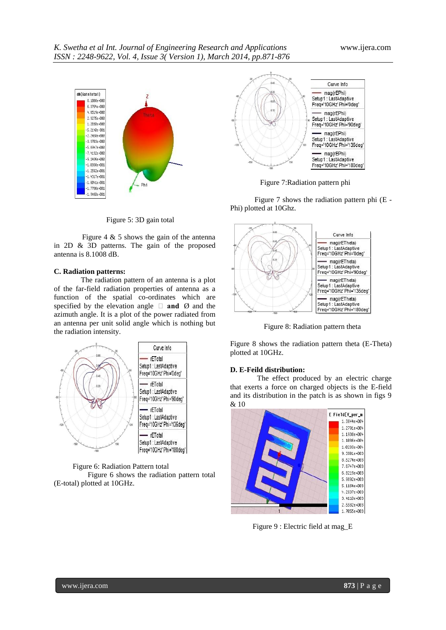

Figure 5: 3D gain total

 Figure 4 & 5 shows the gain of the antenna in 2D & 3D patterns. The gain of the proposed antenna is 8.1008 dB.

#### **C. Radiation patterns:**

The radiation pattern of an antenna is a plot of the far-field radiation properties of antenna as a function of the spatial co-ordinates which are specified by the elevation angle **θ and** Ø and the azimuth angle. It is a plot of the power radiated from an antenna per unit solid angle which is nothing but the radiation intensity.



#### Figure 6: Radiation Pattern total

 Figure 6 shows the radiation pattern total (E-total) plotted at 10GHz.



Figure 7:Radiation pattern phi

 Figure 7 shows the radiation pattern phi (E - Phi) plotted at 10Ghz.



Figure 8: Radiation pattern theta

Figure 8 shows the radiation pattern theta (E-Theta) plotted at 10GHz.

#### **D. E-Feild distribution:**

The effect produced by an electric charge that exerts a force on charged objects is the E-field and its distribution in the patch is as shown in figs 9 & 10



Figure 9 : Electric field at mag\_E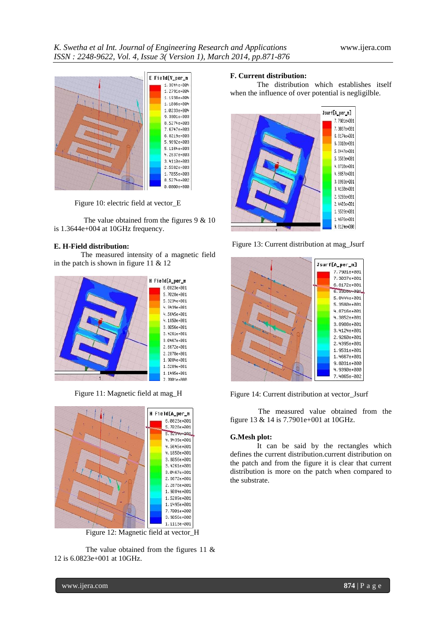

Figure 10: electric field at vector\_E

The value obtained from the figures 9 & 10 is 1.3644e+004 at 10GHz frequency.

## **E. H-Field distribution:**

The measured intensity of a magnetic field in the patch is shown in figure 11 & 12



Figure 11: Magnetic field at mag\_H



Figure 12: Magnetic field at vector\_H

 The value obtained from the figures 11 & 12 is 6.0823e+001 at 10GHz.

#### **F. Current distribution:**

The distribution which establishes itself when the influence of over potential is negligilble.



Figure 13: Current distribution at mag\_Jsurf



Figure 14: Current distribution at vector\_Jsurf

 The measured value obtained from the figure 13 & 14 is 7.7901e+001 at 10GHz.

### **G.Mesh plot:**

It can be said by the rectangles which defines the current distribution.current distribution on the patch and from the figure it is clear that current distribution is more on the patch when compared to the substrate.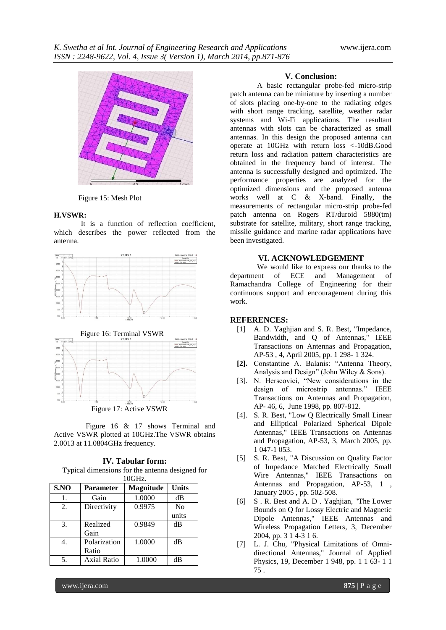

Figure 15: Mesh Plot

#### **H.VSWR:**

It is a function of reflection coefficient, which describes the power reflected from the antenna.





Figure 17: Active VSWR

 Figure 16 & 17 shows Terminal and Active VSWR plotted at 10GHz.The VSWR obtains 2.0013 at 11.0804GHz frequency.

**IV. Tabular form:** Typical dimensions for the antenna designed for 10GHz.

| 1000117. |                    |           |                |
|----------|--------------------|-----------|----------------|
| S.NO     | Parameter          | Magnitude | Units          |
| 1.       | Gain               | 1.0000    | dВ             |
| 2.       | Directivity        | 0.9975    | N <sub>0</sub> |
|          |                    |           | units          |
| 3.       | Realized           | 0.9849    | $\rm dB$       |
|          | Gain               |           |                |
|          | Polarization       | 1.0000    | dB             |
|          | Ratio              |           |                |
| 5.       | <b>Axial Ratio</b> | 1.0000    | dB             |

#### **V. Conclusion:**

A basic rectangular probe-fed micro-strip patch antenna can be miniature by inserting a number of slots placing one-by-one to the radiating edges with short range tracking, satellite, weather radar systems and Wi-Fi applications. The resultant antennas with slots can be characterized as small antennas. In this design the proposed antenna can operate at 10GHz with return loss <-10dB.Good return loss and radiation pattern characteristics are obtained in the frequency band of interest. The antenna is successfully designed and optimized. The performance properties are analyzed for the optimized dimensions and the proposed antenna works well at C & X-band. Finally, the measurements of rectangular micro-strip probe-fed patch antenna on Rogers RT/duroid 5880(tm) substrate for satellite, military, short range tracking, missile guidance and marine radar applications have been investigated.

#### **VI. ACKNOWLEDGEMENT**

We would like to express our thanks to the department of ECE and Management of Ramachandra College of Engineering for their continuous support and encouragement during this work.

## **REFERENCES:**

- [1] A. D. Yaghjian and S. R. Best, "Impedance, Bandwidth, and Q of Antennas," IEEE Transactions on Antennas and Propagation, AP-53 , 4, April 2005, pp. 1 298- 1 324.
- **[2].** Constantine A. Balanis: "Antenna Theory, Analysis and Design" (John Wiley & Sons).
- [3]. N. Herscovici, "New considerations in the design of microstrip antennas." IEEE Transactions on Antennas and Propagation, AP- 46, 6, June 1998, pp. 807-812.
- [4]. S. R. Best, "Low Q Electrically Small Linear and Elliptical Polarized Spherical Dipole Antennas," IEEE Transactions on Antennas and Propagation, AP-53, 3, March 2005, pp. 1 047-1 053.
- [5] S. R. Best, "A Discussion on Quality Factor of Impedance Matched Electrically Small Wire Antennas," IEEE Transactions on Antennas and Propagation, AP-53, 1 , January 2005 , pp. 502-508.
- [6] S . R. Best and A. D . Yaghjian, "The Lower Bounds on Q for Lossy Electric and Magnetic Dipole Antennas," IEEE Antennas and Wireless Propagation Letters, 3, December 2004, pp. 3 1 4-3 1 6.
- [7] L. J. Chu, "Physical Limitations of Omnidirectional Antennas," Journal of Applied Physics, 19, December 1 948, pp. 1 1 63- 1 1 75 .

www.ijera.com **875** | P a g e